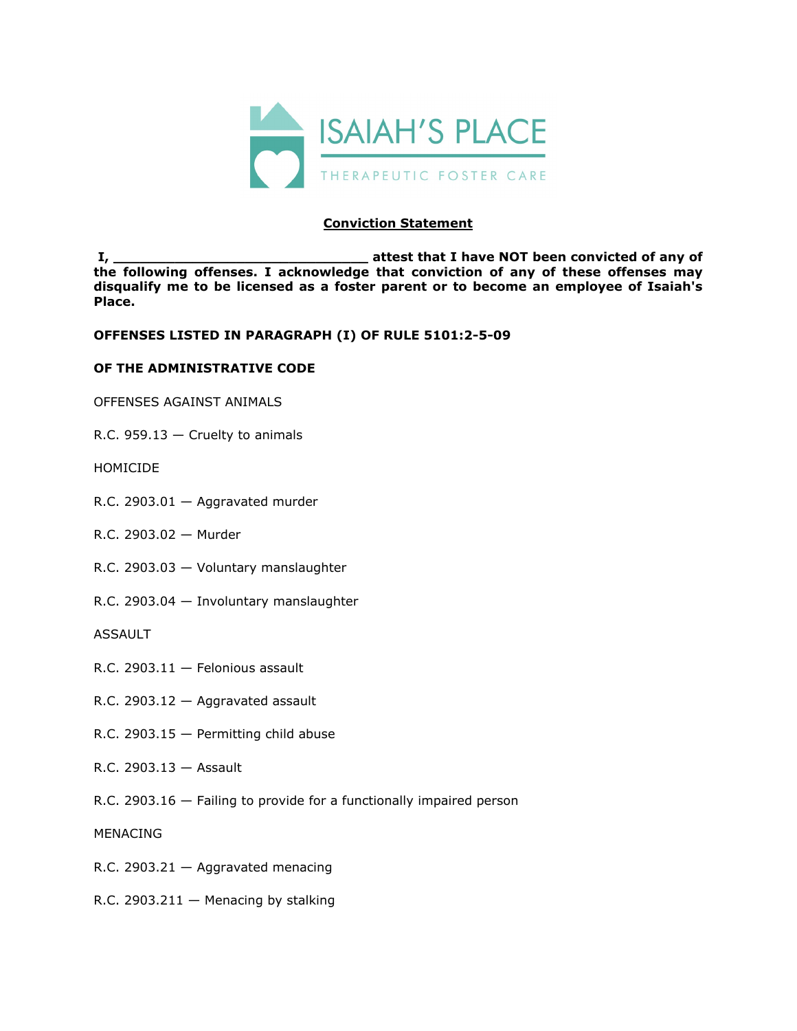

## **Conviction Statement**

**I, \_\_\_\_\_\_\_\_\_\_\_\_\_\_\_\_\_\_\_\_\_\_\_\_\_\_\_\_\_ attest that I have NOT been convicted of any of the following offenses. I acknowledge that conviction of any of these offenses may disqualify me to be licensed as a foster parent or to become an employee of Isaiah's Place.** 

**OFFENSES LISTED IN PARAGRAPH (I) OF RULE 5101:2-5-09**

## **OF THE ADMINISTRATIVE CODE**

OFFENSES AGAINST ANIMALS

R.C. 959.13 — Cruelty to animals

HOMICIDE

- R.C. 2903.01 Aggravated murder
- R.C. 2903.02 Murder
- R.C. 2903.03 Voluntary manslaughter
- R.C. 2903.04 Involuntary manslaughter

ASSAULT

- R.C. 2903.11 Felonious assault
- R.C. 2903.12 Aggravated assault
- R.C. 2903.15 Permitting child abuse
- R.C. 2903.13 Assault
- R.C. 2903.16 Failing to provide for a functionally impaired person

MENACING

- R.C. 2903.21 Aggravated menacing
- R.C. 2903.211  $-$  Menacing by stalking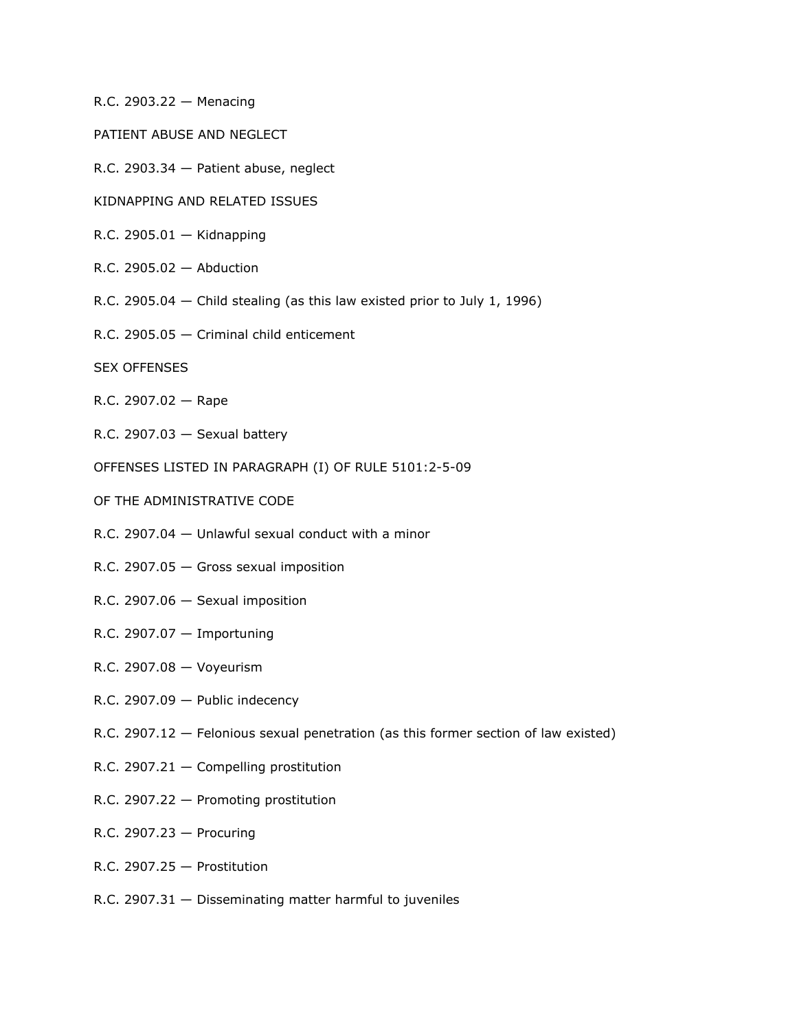- R.C. 2903.22 Menacing
- PATIENT ABUSE AND NEGLECT
- R.C. 2903.34 Patient abuse, neglect
- KIDNAPPING AND RELATED ISSUES
- R.C. 2905.01 Kidnapping
- R.C. 2905.02 Abduction
- R.C. 2905.04 Child stealing (as this law existed prior to July 1, 1996)
- R.C. 2905.05 Criminal child enticement
- SEX OFFENSES
- R.C. 2907.02 Rape
- R.C. 2907.03  $-$  Sexual battery
- OFFENSES LISTED IN PARAGRAPH (I) OF RULE 5101:2-5-09
- OF THE ADMINISTRATIVE CODE
- R.C. 2907.04 Unlawful sexual conduct with a minor
- R.C. 2907.05 Gross sexual imposition
- R.C. 2907.06 Sexual imposition
- R.C. 2907.07 Importuning
- R.C. 2907.08 Voyeurism
- R.C. 2907.09 Public indecency
- R.C. 2907.12 Felonious sexual penetration (as this former section of law existed)
- R.C. 2907.21 Compelling prostitution
- R.C. 2907.22 Promoting prostitution
- R.C. 2907.23 Procuring
- R.C. 2907.25 Prostitution
- R.C. 2907.31 Disseminating matter harmful to juveniles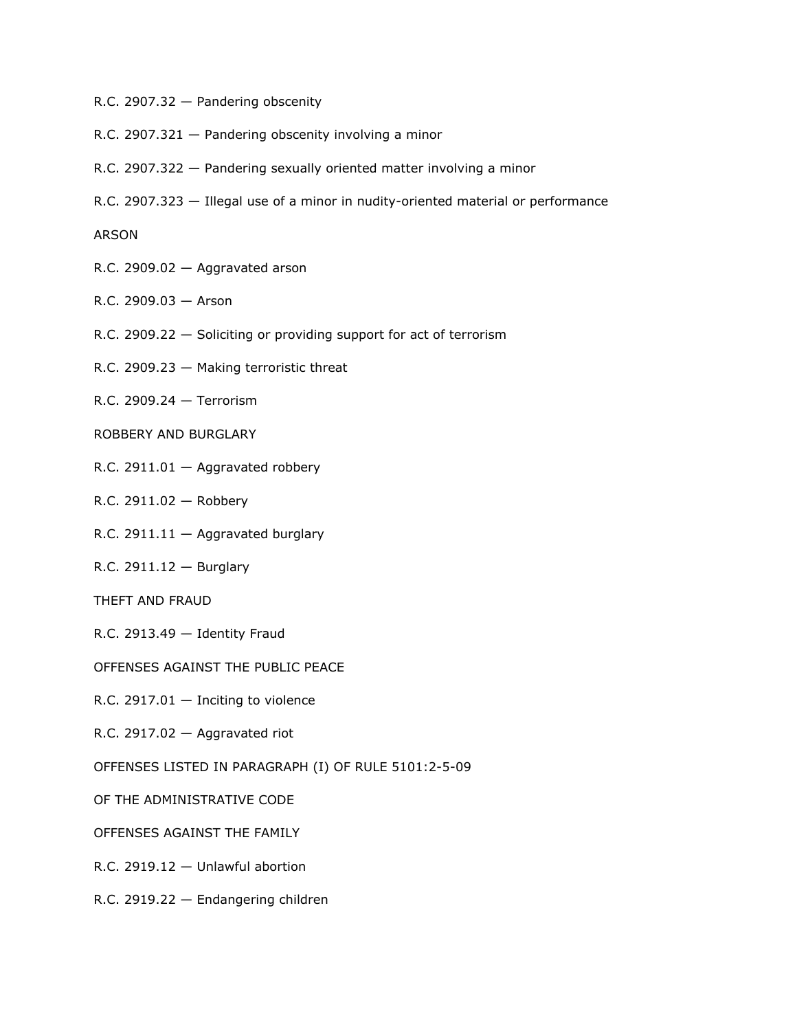- R.C. 2907.32 Pandering obscenity
- R.C. 2907.321 Pandering obscenity involving a minor
- R.C. 2907.322 Pandering sexually oriented matter involving a minor
- R.C. 2907.323 Illegal use of a minor in nudity-oriented material or performance

ARSON

- R.C. 2909.02 Aggravated arson
- R.C. 2909.03 Arson
- R.C. 2909.22 Soliciting or providing support for act of terrorism
- R.C. 2909.23 Making terroristic threat
- R.C. 2909.24 Terrorism
- ROBBERY AND BURGLARY
- R.C. 2911.01 Aggravated robbery
- R.C. 2911.02 Robbery
- R.C. 2911.11 Aggravated burglary
- R.C. 2911.12 Burglary
- THEFT AND FRAUD
- R.C. 2913.49 Identity Fraud
- OFFENSES AGAINST THE PUBLIC PEACE
- R.C. 2917.01  $-$  Inciting to violence
- R.C. 2917.02 Aggravated riot
- OFFENSES LISTED IN PARAGRAPH (I) OF RULE 5101:2-5-09
- OF THE ADMINISTRATIVE CODE
- OFFENSES AGAINST THE FAMILY
- R.C. 2919.12 Unlawful abortion
- R.C. 2919.22 Endangering children